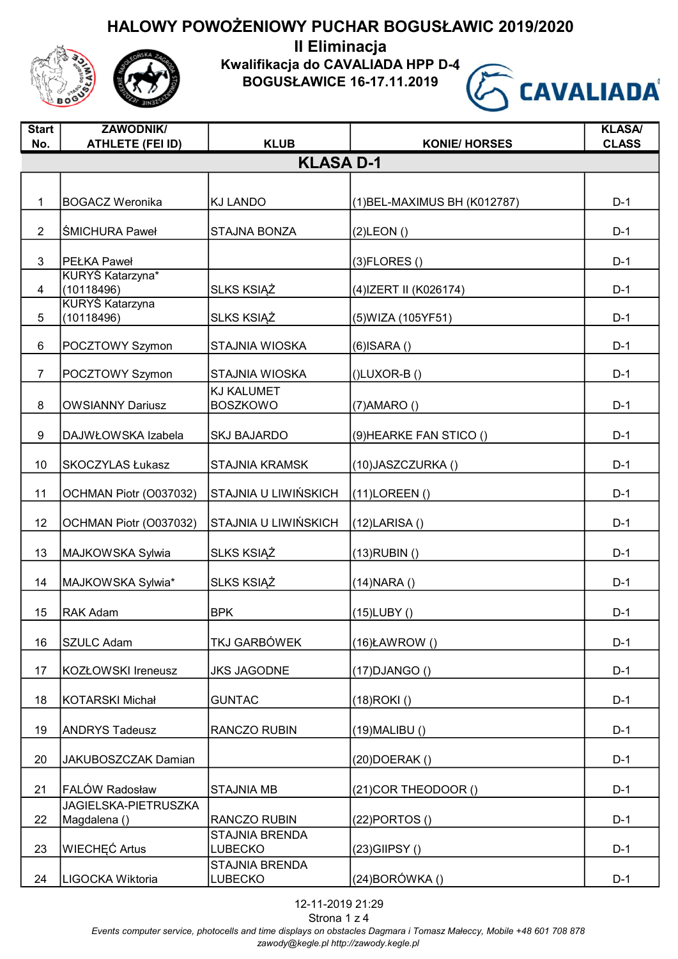

Kwalifikacja do CAVALIADA HPP D-4

BOGUSŁAWICE 16-17.11.2019

 $\sqrt{S}$ 



| <b>Start</b>   | <b>ZAWODNIK/</b>                            |                                  |                              | <b>KLASA/</b> |
|----------------|---------------------------------------------|----------------------------------|------------------------------|---------------|
| No.            | <b>ATHLETE (FEI ID)</b>                     | <b>KLUB</b>                      | <b>KONIE/ HORSES</b>         | <b>CLASS</b>  |
|                |                                             | <b>KLASA D-1</b>                 |                              |               |
|                |                                             |                                  |                              |               |
| $\mathbf{1}$   | <b>BOGACZ Weronika</b>                      | <b>KJ LANDO</b>                  | (1) BEL-MAXIMUS BH (K012787) | $D-1$         |
| $\overline{2}$ | <b>SMICHURA Paweł</b>                       | <b>STAJNA BONZA</b>              | $(2)$ LEON $()$              | $D-1$         |
|                |                                             |                                  |                              |               |
| 3              | <b>PEŁKA Paweł</b><br>KURYS Katarzyna*      |                                  | $(3)$ FLORES $()$            | $D-1$         |
| $\overline{4}$ | (10118496)                                  | <b>SLKS KSIĄŻ</b>                | (4) IZERT II (K026174)       | $D-1$         |
|                | <b>KURYŚ Katarzyna</b>                      |                                  |                              |               |
| 5              | (10118496)                                  | SLKS KSIĄŻ                       | (5) WIZA (105 YF 51)         | $D-1$         |
| 6              | POCZTOWY Szymon                             | STAJNIA WIOSKA                   | $(6)$ ISARA $()$             | $D-1$         |
| $\overline{7}$ | POCZTOWY Szymon                             | <b>STAJNIA WIOSKA</b>            | $(I)$ LUXOR-B $(I)$          | $D-1$         |
|                |                                             | <b>KJ KALUMET</b>                |                              |               |
| 8              | <b>OWSIANNY Dariusz</b>                     | <b>BOSZKOWO</b>                  | $(7)$ AMARO $()$             | $D-1$         |
|                |                                             |                                  |                              |               |
| 9              | DAJWŁOWSKA Izabela                          | <b>SKJ BAJARDO</b>               | (9) HEARKE FAN STICO ()      | $D-1$         |
| 10             | SKOCZYLAS Łukasz                            | <b>STAJNIA KRAMSK</b>            | (10) JASZCZURKA ()           | $D-1$         |
| 11             | OCHMAN Piotr (O037032)                      | STAJNIA U LIWIŃSKICH             | $(11)$ LOREEN $()$           | $D-1$         |
| 12             | OCHMAN Piotr (O037032)                      | STAJNIA U LIWIŃSKICH             | (12)LARISA()                 | $D-1$         |
| 13             | MAJKOWSKA Sylwia                            | SLKS KSIĄŻ                       | $(13)$ RUBIN $()$            | $D-1$         |
| 14             | MAJKOWSKA Sylwia*                           | SLKS KSIĄŻ                       | (14) NARA ()                 | $D-1$         |
| 15             | <b>RAK Adam</b>                             | <b>BPK</b>                       | $(15)$ LUBY $()$             | $D-1$         |
| 16             | SZULC Adam                                  | TKJ GARBÓWEK                     | $(16)$ ŁAWROW $()$           | $D-1$         |
|                |                                             |                                  |                              |               |
| 17             | KOZŁOWSKI Ireneusz                          | <b>JKS JAGODNE</b>               | $(17)$ DJANGO $()$           | $D-1$         |
| 18             | <b>KOTARSKI Michał</b>                      | <b>GUNTAC</b>                    | (18)ROKI()                   | $D-1$         |
|                |                                             |                                  |                              |               |
| 19             | <b>ANDRYS Tadeusz</b>                       | RANCZO RUBIN                     | $(19)$ MALIBU $()$           | $D-1$         |
| 20             | JAKUBOSZCZAK Damian                         |                                  | $(20)$ DOERAK $()$           | $D-1$         |
| 21             | FALÓW Radosław                              | <b>STAJNIA MB</b>                | (21) COR THEODOOR ()         | $D-1$         |
| 22             | <b>JAGIELSKA-PIETRUSZKA</b><br>Magdalena () | RANCZO RUBIN                     | $(22)$ PORTOS $()$           | $D-1$         |
|                |                                             | <b>STAJNIA BRENDA</b>            |                              |               |
| 23             | <b>WIECHEC Artus</b>                        | <b>LUBECKO</b>                   | $(23)$ GIIPSY $()$           | $D-1$         |
| 24             | LIGOCKA Wiktoria                            | <b>STAJNIA BRENDA</b><br>LUBECKO | (24) BORÓWKA ()              | $D-1$         |
|                |                                             |                                  |                              |               |

12-11-2019 21:29 Strona 1 z 4 Events computer service, photocells and time displays on obstacles Dagmara i Tomasz Małeccy, Mobile +48 601 708 878 zawody@kegle.pl http://zawody.kegle.pl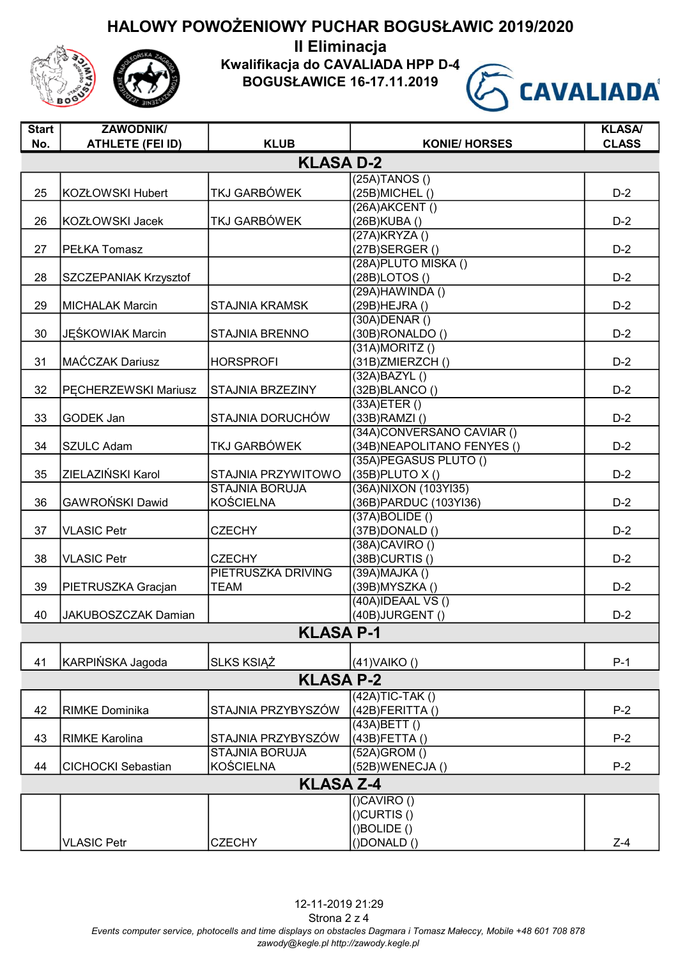

II Eliminacja Kwalifikacja do CAVALIADA HPP D-4 BOGUSŁAWICE 16-17.11.2019



| <b>Start</b> | <b>ZAWODNIK/</b>           |                           |                                                | <b>KLASA/</b> |
|--------------|----------------------------|---------------------------|------------------------------------------------|---------------|
| No.          | <b>ATHLETE (FEI ID)</b>    | <b>KLUB</b>               | <b>KONIE/ HORSES</b>                           | <b>CLASS</b>  |
|              |                            | <b>KLASA D-2</b>          |                                                |               |
|              |                            |                           | $(25A)$ TANOS $()$                             |               |
| 25           | KOZŁOWSKI Hubert           | TKJ GARBÓWEK              | (25B) MICHEL ()                                | $D-2$         |
|              |                            |                           | (26A) AKCENT ()                                |               |
| 26           | KOZŁOWSKI Jacek            | <b>TKJ GARBÓWEK</b>       | (26B) KUBA ()                                  | $D-2$         |
|              |                            |                           | (27A)KRYZA()                                   |               |
| 27           | <b>PEŁKA Tomasz</b>        |                           | (27B) SERGER()<br>(28A) PLUTO MISKA ()         | $D-2$         |
| 28           |                            |                           | (28B)LOTOS()                                   | $D-2$         |
|              | SZCZEPANIAK Krzysztof      |                           | $(29A)$ HAWINDA $()$                           |               |
| 29           | <b>MICHALAK Marcin</b>     | <b>STAJNIA KRAMSK</b>     | (29B) HEJRA ()                                 | $D-2$         |
|              |                            |                           | $(30A)$ DENAR $()$                             |               |
| 30           | <b>JEŚKOWIAK Marcin</b>    | <b>STAJNIA BRENNO</b>     | (30B)RONALDO()                                 | $D-2$         |
|              |                            |                           | $(31A)$ MORITZ $()$                            |               |
| 31           | MAĆCZAK Dariusz            | <b>HORSPROFI</b>          | (31B)ZMIERZCH()                                | $D-2$         |
|              |                            |                           | (32A)BAZYL()                                   |               |
| 32           | PECHERZEWSKI Mariusz       | STAJNIA BRZEZINY          | (32B)BLANCO()                                  | $D-2$         |
|              |                            |                           | (33A)ETER()                                    |               |
| 33           | <b>GODEK Jan</b>           | STAJNIA DORUCHÓW          | $(33B)$ RAMZI $()$                             | $D-2$         |
|              |                            |                           | (34A)CONVERSANO CAVIAR ()                      |               |
| 34           | <b>SZULC Adam</b>          | TKJ GARBÓWEK              | (34B) NEAPOLITANO FENYES ()                    | $D-2$         |
|              |                            |                           | (35A)PEGASUS PLUTO ()                          |               |
| 35           | ZIELAZIŃSKI Karol          | <b>STAJNIA PRZYWITOWO</b> | $(35B)$ PLUTO X $()$                           | $D-2$         |
|              |                            | <b>STAJNIA BORUJA</b>     | (36A) NIXON (103YI35)                          |               |
| 36           | <b>GAWROŃSKI Dawid</b>     | KOŚCIELNA                 | (36B) PARDUC (103YI36)                         | $D-2$         |
|              |                            |                           | (37A)BOLIDE()                                  |               |
| 37           | <b>VLASIC Petr</b>         | <b>CZECHY</b>             | (37B)DONALD()                                  | $D-2$         |
|              |                            |                           | $(38A)$ CAVIRO $()$                            |               |
| 38           | <b>VLASIC Petr</b>         | <b>CZECHY</b>             | (38B)CURTIS()                                  | $D-2$         |
|              |                            | PIETRUSZKA DRIVING        | (39A) MAJKA ()                                 |               |
| 39           | PIETRUSZKA Gracjan         | <b>TEAM</b>               | (39B) MYSZKA ()                                | $D-2$         |
| 40           | <b>JAKUBOSZCZAK Damian</b> |                           | (40A)IDEAAL VS()<br>(40B)JURGENT()             | $D-2$         |
|              |                            |                           |                                                |               |
|              |                            | <b>KLASA P-1</b>          |                                                |               |
| 41           | KARPIŃSKA Jagoda           | <b>SLKS KSIAZ</b>         | $(41)$ VAIKO $()$                              | $P-1$         |
|              |                            |                           |                                                |               |
|              |                            | <b>KLASA P-2</b>          |                                                |               |
|              |                            |                           | $(42A)TIC-TAK()$                               |               |
| 42           | <b>RIMKE Dominika</b>      | STAJNIA PRZYBYSZÓW        | $(42B)$ FERITTA $()$                           | $P-2$         |
| 43           | <b>RIMKE Karolina</b>      | STAJNIA PRZYBYSZÓW        | (43A)B <sub>ETT</sub> ()<br>$(43B)$ FETTA $()$ | $P-2$         |
|              |                            | <b>STAJNIA BORUJA</b>     | (52A)GROM ()                                   |               |
| 44           | <b>CICHOCKI Sebastian</b>  | <b>KOŚCIELNA</b>          | (52B)WENECJA()                                 | $P-2$         |
|              |                            | <b>KLASA Z-4</b>          |                                                |               |
|              |                            |                           |                                                |               |
|              |                            |                           | $()$ CAVIRO $()$                               |               |
|              |                            |                           | $()$ CURTIS $()$<br>()BOLIDE()                 |               |
|              | <b>VLASIC Petr</b>         | <b>CZECHY</b>             | $( )$ DONALD $( )$                             | $Z-4$         |
|              |                            |                           |                                                |               |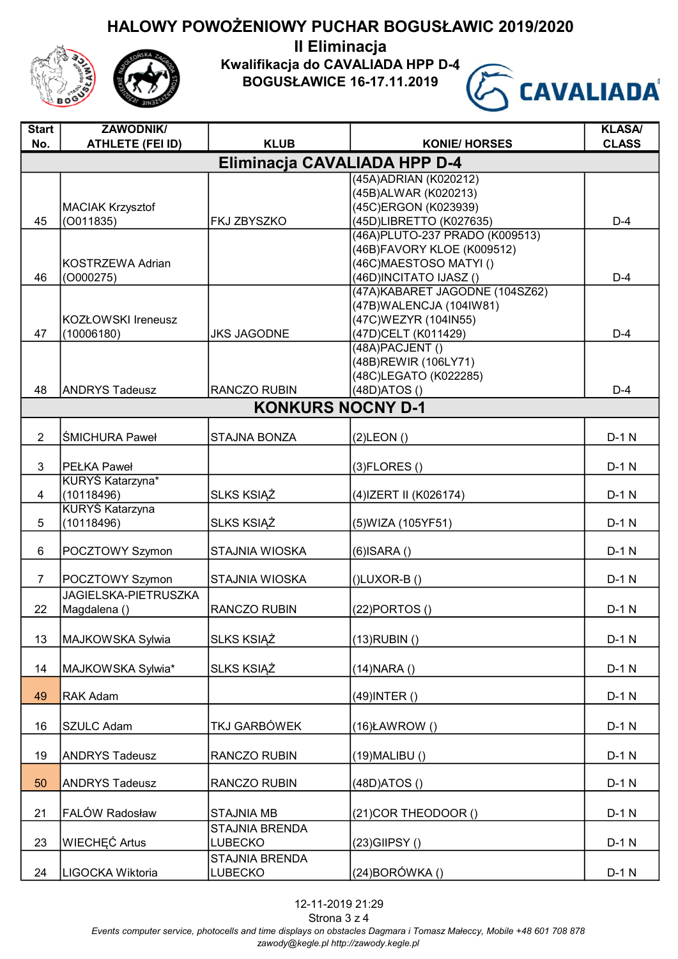II Eliminacja

Kwalifikacja do CAVALIADA HPP D-4

BOGUSŁAWICE 16-17.11.2019



| <b>Start</b>   | ZAWODNIK/                            |                          |                                 | <b>KLASA/</b> |  |  |
|----------------|--------------------------------------|--------------------------|---------------------------------|---------------|--|--|
| No.            | <b>ATHLETE (FEI ID)</b>              | <b>KLUB</b>              | <b>KONIE/ HORSES</b>            | <b>CLASS</b>  |  |  |
|                | Eliminacja CAVALIADA HPP D-4         |                          |                                 |               |  |  |
|                |                                      |                          | (45A) ADRIAN (K020212)          |               |  |  |
|                |                                      |                          | (45B) ALWAR (K020213)           |               |  |  |
|                | <b>MACIAK Krzysztof</b>              |                          | (45C)ERGON (K023939)            |               |  |  |
| 45             | (0011835)                            | FKJ ZBYSZKO              | (45D)LIBRETTO (K027635)         | $D-4$         |  |  |
|                |                                      |                          | (46A) PLUTO-237 PRADO (K009513) |               |  |  |
|                |                                      |                          | (46B)FAVORY KLOE (K009512)      |               |  |  |
|                | <b>KOSTRZEWA Adrian</b>              |                          | (46C) MAESTOSO MATYI()          |               |  |  |
| 46             | (0000275)                            |                          | (46D)INCITATO IJASZ ()          | $D-4$         |  |  |
|                |                                      |                          | (47A) KABARET JAGODNE (104SZ62) |               |  |  |
|                |                                      |                          | (47B) WALENCJA (104IW81)        |               |  |  |
|                | KOZŁOWSKI Ireneusz                   |                          | (47C) WEZYR (104IN55)           |               |  |  |
| 47             | (10006180)                           | <b>JKS JAGODNE</b>       | (47D)CELT (K011429)             | $D-4$         |  |  |
|                |                                      |                          | (48A) PACJENT ()                |               |  |  |
|                |                                      |                          | (48B) REWIR (106LY71)           |               |  |  |
|                |                                      |                          | (48C)LEGATO (K022285)           |               |  |  |
| 48             | <b>ANDRYS Tadeusz</b>                | RANCZO RUBIN             | (48D)ATOS()                     | $D-4$         |  |  |
|                |                                      | <b>KONKURS NOCNY D-1</b> |                                 |               |  |  |
|                |                                      |                          |                                 |               |  |  |
| $\overline{2}$ | <b>ŚMICHURA Paweł</b>                | <b>STAJNA BONZA</b>      | $(2)$ LEON $()$                 | $D-1$ N       |  |  |
|                |                                      |                          |                                 |               |  |  |
| 3              | <b>PEŁKA Paweł</b>                   |                          | $(3)$ FLORES $()$               | $D-1$ N       |  |  |
|                | KURYŚ Katarzyna*                     |                          |                                 |               |  |  |
| 4              | (10118496)                           | <b>SLKS KSIAZ</b>        | (4) IZERT II (K026174)          | $D-1$ N       |  |  |
| 5              | <b>KURYŚ Katarzyna</b><br>(10118496) | <b>SLKS KSIĄŻ</b>        |                                 | $D-1$ N       |  |  |
|                |                                      |                          | (5) WIZA (105 YF 51)            |               |  |  |
| 6              | POCZTOWY Szymon                      | STAJNIA WIOSKA           | $(6)$ ISARA $()$                | $D-1$ N       |  |  |
|                |                                      |                          |                                 |               |  |  |
| $\overline{7}$ | POCZTOWY Szymon                      | <b>STAJNIA WIOSKA</b>    | $(I)$ LUXOR-B $(I)$             | $D-1$ N       |  |  |
|                | JAGIELSKA-PIETRUSZKA                 |                          |                                 |               |  |  |
| 22             | Magdalena ()                         | <b>RANCZO RUBIN</b>      | $(22)$ PORTOS $()$              | $D-1$ N       |  |  |
|                |                                      |                          |                                 |               |  |  |
| 13             | MAJKOWSKA Sylwia                     | <b>SLKS KSIĄŻ</b>        | $(13)$ RUBIN $()$               | $D-1$ N       |  |  |
|                |                                      |                          |                                 |               |  |  |
| 14             | MAJKOWSKA Sylwia*                    | SLKS KSIĄŻ               | $(14)$ NARA $()$                | $D-1$ N       |  |  |
|                |                                      |                          |                                 |               |  |  |
| 49             | <b>RAK Adam</b>                      |                          | $(49)$ INTER $()$               | $D-1$ N       |  |  |
|                |                                      |                          |                                 |               |  |  |
| 16             | <b>SZULC Adam</b>                    | TKJ GARBÓWEK             | $(16)$ ŁAWROW $()$              | $D-1$ N       |  |  |
|                |                                      |                          |                                 |               |  |  |
| 19             | <b>ANDRYS Tadeusz</b>                | RANCZO RUBIN             | $(19)$ MALIBU $()$              | $D-1$ N       |  |  |
|                |                                      |                          |                                 |               |  |  |
| 50             | <b>ANDRYS Tadeusz</b>                | RANCZO RUBIN             | (48D) ATOS ()                   | $D-1$ N       |  |  |
|                |                                      |                          |                                 |               |  |  |
| 21             | FALÓW Radosław                       | <b>STAJNIA MB</b>        | (21) COR THEODOOR ()            | $D-1$ N       |  |  |
|                |                                      | <b>STAJNIA BRENDA</b>    |                                 |               |  |  |
| 23             | <b>WIECHEC Artus</b>                 | LUBECKO                  | $(23)$ GIIPSY $()$              | $D-1$ N       |  |  |
|                |                                      | STAJNIA BRENDA           |                                 |               |  |  |
| 24             | LIGOCKA Wiktoria                     | LUBECKO                  | $(24)$ BORÓWKA $()$             | $D-1$ N       |  |  |
|                |                                      |                          |                                 |               |  |  |